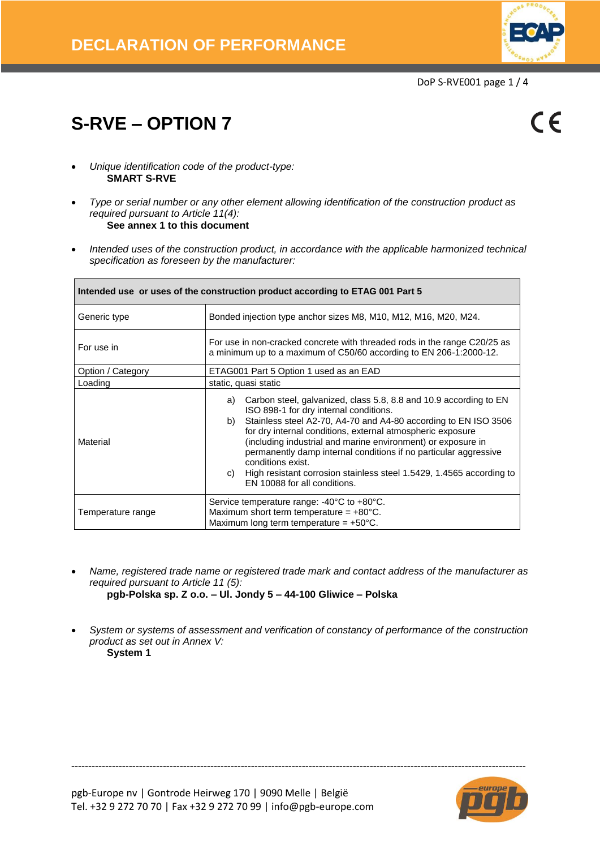

 $\epsilon$ 

# **S-RVE – OPTION 7**

- *Unique identification code of the product-type:* **SMART S-RVE**
- *Type or serial number or any other element allowing identification of the construction product as required pursuant to Article 11(4):* **See annex 1 to this document**
- *Intended uses of the construction product, in accordance with the applicable harmonized technical specification as foreseen by the manufacturer:*

| Intended use or uses of the construction product according to ETAG 001 Part 5 |                                                                                                                                                                                                                                                                                                                                                                                                                                                                                                                                 |  |  |  |  |  |  |
|-------------------------------------------------------------------------------|---------------------------------------------------------------------------------------------------------------------------------------------------------------------------------------------------------------------------------------------------------------------------------------------------------------------------------------------------------------------------------------------------------------------------------------------------------------------------------------------------------------------------------|--|--|--|--|--|--|
| Generic type                                                                  | Bonded injection type anchor sizes M8, M10, M12, M16, M20, M24.                                                                                                                                                                                                                                                                                                                                                                                                                                                                 |  |  |  |  |  |  |
| For use in                                                                    | For use in non-cracked concrete with threaded rods in the range C20/25 as<br>a minimum up to a maximum of C50/60 according to EN 206-1:2000-12.                                                                                                                                                                                                                                                                                                                                                                                 |  |  |  |  |  |  |
| Option / Category                                                             | ETAG001 Part 5 Option 1 used as an EAD                                                                                                                                                                                                                                                                                                                                                                                                                                                                                          |  |  |  |  |  |  |
| Loading                                                                       | static, quasi static                                                                                                                                                                                                                                                                                                                                                                                                                                                                                                            |  |  |  |  |  |  |
| Material                                                                      | Carbon steel, galvanized, class 5.8, 8.8 and 10.9 according to EN<br>a)<br>ISO 898-1 for dry internal conditions.<br>Stainless steel A2-70, A4-70 and A4-80 according to EN ISO 3506<br>b)<br>for dry internal conditions, external atmospheric exposure<br>(including industrial and marine environment) or exposure in<br>permanently damp internal conditions if no particular aggressive<br>conditions exist.<br>High resistant corrosion stainless steel 1.5429, 1.4565 according to<br>C)<br>EN 10088 for all conditions. |  |  |  |  |  |  |
| Temperature range                                                             | Service temperature range: -40°C to +80°C.<br>Maximum short term temperature = $+80^{\circ}$ C.<br>Maximum long term temperature = $+50^{\circ}$ C.                                                                                                                                                                                                                                                                                                                                                                             |  |  |  |  |  |  |

 *Name, registered trade name or registered trade mark and contact address of the manufacturer as required pursuant to Article 11 (5):* **pgb-Polska sp. Z o.o. – Ul. Jondy 5 – 44-100 Gliwice – Polska**

 *System or systems of assessment and verification of constancy of performance of the construction product as set out in Annex V:* **System 1**

--------------------------------------------------------------------------------------------------------------------------------------

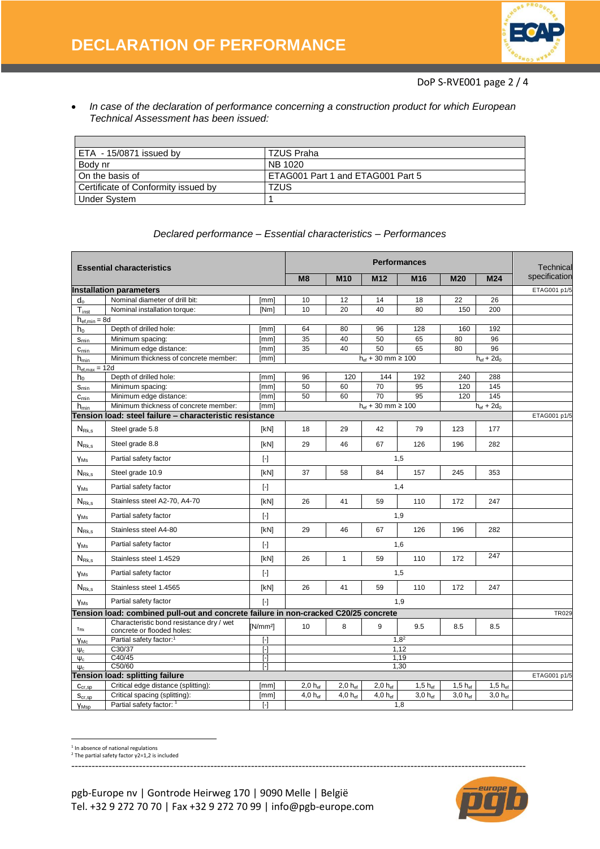

 *In case of the declaration of performance concerning a construction product for which European Technical Assessment has been issued:* 

| ETA - 15/0871 issued by               | TZUS Praha                        |
|---------------------------------------|-----------------------------------|
| Body nr                               | NB 1020                           |
| On the basis of                       | ETAG001 Part 1 and ETAG001 Part 5 |
| l Certificate of Conformity issued by | TZUS                              |
| <b>Under System</b>                   |                                   |

|                             | <b>Essential characteristics</b>                                                    | <b>Performances</b>     |                     | Technical           |                            |                 |              |                    |               |
|-----------------------------|-------------------------------------------------------------------------------------|-------------------------|---------------------|---------------------|----------------------------|-----------------|--------------|--------------------|---------------|
|                             |                                                                                     |                         | M8                  | <b>M10</b>          | M <sub>12</sub>            | M <sub>16</sub> | <b>M20</b>   | <b>M24</b>         | specification |
|                             | <b>Installation parameters</b>                                                      |                         |                     |                     |                            |                 |              |                    | ETAG001 p1/5  |
| $d_{o}$                     | Nominal diameter of drill bit:                                                      | [mm]                    | 10                  | 12                  | 14                         | 18              | 22           | 26                 |               |
| $T_{inst}$                  | Nominal installation torque:                                                        | [Nm]                    | 10                  | 20                  | 40                         | 80              | 150          | 200                |               |
| $h_{ef,min} = 8d$           |                                                                                     |                         |                     |                     |                            |                 |              |                    |               |
| h <sub>0</sub>              | Depth of drilled hole:                                                              | [mm]                    | 64                  | 80                  | 96                         | 128             | 160          | 192                |               |
| $S_{min}$                   | Minimum spacing:                                                                    | [mm]                    | 35                  | 40                  | 50                         | 65              | 80           | 96                 |               |
| $C_{\text{min}}$            | Minimum edge distance:                                                              | [mm]                    | 35                  | 40                  | 50                         | 65              | 80           | 96                 |               |
| $h_{\text{min}}$            | Minimum thickness of concrete member:                                               | [mm]                    |                     |                     | $h_{ef} + 30$ mm $\ge 100$ |                 |              | $h_{ef}$ + 2 $d_0$ |               |
| $h_{ef,max} = 12d$<br>$h_0$ | Depth of drilled hole:                                                              | [mm]                    | 96                  | 120                 | 144                        | 192             | 240          | 288                |               |
| $S_{\underline{min}}$       | Minimum spacing:                                                                    | [mm]                    | 50                  | 60                  | 70                         | 95              | 120          | 145                |               |
| $C_{\text{min}}$            | Minimum edge distance:                                                              | [mm]                    | 50                  | 60                  | 70                         | 95              | 120          | 145                |               |
| $h_{\min}$                  | Minimum thickness of concrete member:                                               | [mm]                    |                     |                     | $h_{ef} + 30$ mm $\ge 100$ |                 |              | $h_{ef} + 2d_0$    |               |
|                             | Tension load: steel failure – characteristic resistance                             |                         |                     |                     |                            |                 |              |                    | ETAG001 p1/5  |
| $N_{Rk,s}$                  | Steel grade 5.8                                                                     | [kN]                    | 18                  | 29                  | 42                         | 79              | 123          | 177                |               |
| $N_{Rk,s}$                  | Steel grade 8.8                                                                     | [kN]                    | 29                  | 46                  | 67                         | 126             | 196          | 282                |               |
| <b>YMs</b>                  | Partial safety factor                                                               | $[\cdot]$               |                     | 1,5                 |                            |                 |              |                    |               |
| $N_{Rk,s}$                  | Steel grade 10.9                                                                    | [kN]                    | 37                  | 58                  | 84                         | 157             | 245          | 353                |               |
| <b>YMs</b>                  | Partial safety factor                                                               | $[\cdot]$               |                     |                     |                            | 1,4             |              |                    |               |
| $N_{Rk,s}$                  | Stainless steel A2-70, A4-70                                                        | [kN]                    | 26                  | 41                  | 59                         | 110             | 172          | 247                |               |
| YMs                         | Partial safety factor                                                               | $[\cdot]$               |                     | 1,9                 |                            |                 |              |                    |               |
| $N_{Rk,s}$                  | Stainless steel A4-80                                                               | [kN]                    | 29                  | 46                  | 67                         | 126             | 196          | 282                |               |
| <b>YMs</b>                  | Partial safety factor                                                               | $[\cdot]$               |                     |                     |                            | 1,6             |              |                    |               |
| $N_{Rk,s}$                  | Stainless steel 1.4529                                                              | [kN]                    | 26                  | $\mathbf{1}$        | 59                         | 110             | 172          | 247                |               |
| <b>YMs</b>                  | Partial safety factor                                                               | $[\cdot]$               |                     |                     |                            | 1,5             |              |                    |               |
| $N_{\rm Rk,s}$              | Stainless steel 1.4565                                                              | [kN]                    | 26                  | 41                  | 59                         | 110             | 172          | 247                |               |
| YMs                         | Partial safety factor                                                               | $[\cdot]$               |                     |                     |                            | 1,9             |              |                    |               |
|                             | Tension load: combined pull-out and concrete failure in non-cracked C20/25 concrete |                         |                     |                     |                            |                 |              |                    | <b>TR029</b>  |
| TRk                         | Characteristic bond resistance drv / wet<br>concrete or flooded holes:              | [N/mm <sup>2</sup> ]    | 10                  | 8                   | 9                          | 9.5             | 8.5          | 8.5                |               |
| Yмс                         | Partial safety factor: <sup>1</sup>                                                 | $[\cdot]$               | $1,8^2$             |                     |                            |                 |              |                    |               |
| $\Psi_c$                    | C30/37                                                                              | $\lbrack \cdot \rbrack$ | 1,12                |                     |                            |                 |              |                    |               |
| $\Psi_c$                    | C40/45<br>C50/60                                                                    | Θ<br>$\lceil - \rceil$  | 1,19<br>1,30        |                     |                            |                 |              |                    |               |
| $\Psi_c$                    | Tension load: splitting failure                                                     |                         |                     |                     |                            |                 |              |                    | ETAG001 p1/5  |
| $C_{cr,SD}$                 | Critical edge distance (splitting):                                                 | [mm]                    | $2.0 h_{\text{ef}}$ | $2.0 h_{\text{ef}}$ | $2.0 h_{ef}$               | $1,5 h_{ef}$    | $1.5 h_{ef}$ | $1.5 h_{ef}$       |               |
| $S_{cr,sp}$                 | Critical spacing (splitting):                                                       | [mm]                    | $4,0 h_{ef}$        | 4,0 hef             | $4,0 h_{ef}$               | $3,0 h_{ef}$    | $3,0 h_{ef}$ | $3,0 h_{ef}$       |               |
| YMsp                        | Partial safety factor: 1                                                            | $[\cdot]$               |                     |                     |                            | 1,8             |              |                    |               |

--------------------------------------------------------------------------------------------------------------------------------------

#### *Declared performance – Essential characteristics – Performances*

<sup>1</sup> In absence of national regulations

 $\overline{a}$ 

<sup>2</sup> The partial safety factor γ2=1,2 is included

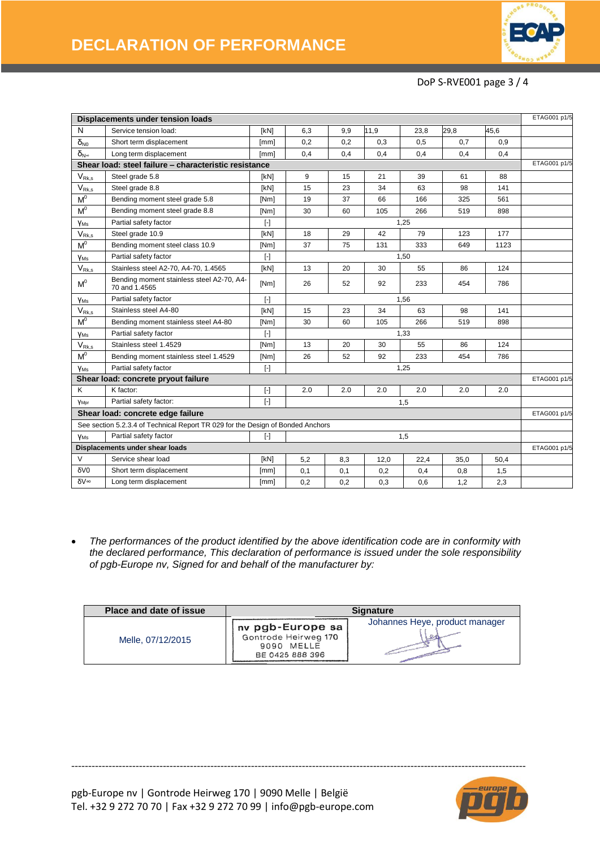

### DoP S-RVE001 page 3 / 4

|                                       | Displacements under tension loads                                               |                                                                                                                                                                                                                                                                                                                                                                                                                                                                                                                                                                                                                                                                                                                                                                                                                                                                                                                                                                                                                                                                                                                           |     |     |      |      |              |      | ETAG001 p1/5 |
|---------------------------------------|---------------------------------------------------------------------------------|---------------------------------------------------------------------------------------------------------------------------------------------------------------------------------------------------------------------------------------------------------------------------------------------------------------------------------------------------------------------------------------------------------------------------------------------------------------------------------------------------------------------------------------------------------------------------------------------------------------------------------------------------------------------------------------------------------------------------------------------------------------------------------------------------------------------------------------------------------------------------------------------------------------------------------------------------------------------------------------------------------------------------------------------------------------------------------------------------------------------------|-----|-----|------|------|--------------|------|--------------|
| N                                     | Service tension load:                                                           | [kN]                                                                                                                                                                                                                                                                                                                                                                                                                                                                                                                                                                                                                                                                                                                                                                                                                                                                                                                                                                                                                                                                                                                      | 6,3 | 9,9 | 11,9 | 23,8 | 29,8         | 45,6 |              |
| $\delta_{N0}$                         | Short term displacement                                                         | [mm]                                                                                                                                                                                                                                                                                                                                                                                                                                                                                                                                                                                                                                                                                                                                                                                                                                                                                                                                                                                                                                                                                                                      | 0,2 | 0,2 | 0,3  | 0,5  | 0,7          | 0,9  |              |
| $\delta_{N^{\infty}}$                 | Long term displacement                                                          | [mm]                                                                                                                                                                                                                                                                                                                                                                                                                                                                                                                                                                                                                                                                                                                                                                                                                                                                                                                                                                                                                                                                                                                      | 0,4 | 0,4 | 0,4  | 0,4  | 0,4          | 0,4  |              |
|                                       | Shear load: steel failure - characteristic resistance                           |                                                                                                                                                                                                                                                                                                                                                                                                                                                                                                                                                                                                                                                                                                                                                                                                                                                                                                                                                                                                                                                                                                                           |     |     |      |      |              |      | ETAG001 p1/5 |
| $\mathsf{V}_{\mathsf{Rk},\mathsf{s}}$ | Steel grade 5.8                                                                 | [kN]                                                                                                                                                                                                                                                                                                                                                                                                                                                                                                                                                                                                                                                                                                                                                                                                                                                                                                                                                                                                                                                                                                                      | 9   | 15  | 21   | 39   | 61           | 88   |              |
| $V_{Rk,s}$                            | Steel grade 8.8                                                                 | [KN]                                                                                                                                                                                                                                                                                                                                                                                                                                                                                                                                                                                                                                                                                                                                                                                                                                                                                                                                                                                                                                                                                                                      | 15  | 23  | 34   | 63   | 98           | 141  |              |
| M <sup>o</sup>                        | Bending moment steel grade 5.8                                                  | [Nm]                                                                                                                                                                                                                                                                                                                                                                                                                                                                                                                                                                                                                                                                                                                                                                                                                                                                                                                                                                                                                                                                                                                      | 19  | 37  | 66   | 166  | 325          | 561  |              |
| $M^0$                                 | Bending moment steel grade 8.8                                                  | [Nm]                                                                                                                                                                                                                                                                                                                                                                                                                                                                                                                                                                                                                                                                                                                                                                                                                                                                                                                                                                                                                                                                                                                      | 30  | 60  | 105  | 266  | 519          | 898  |              |
| Y <sub>Ms</sub>                       | Partial safety factor                                                           | $[\cdot]$                                                                                                                                                                                                                                                                                                                                                                                                                                                                                                                                                                                                                                                                                                                                                                                                                                                                                                                                                                                                                                                                                                                 |     |     |      | 1,25 |              |      |              |
| $\mathsf{V}_{\mathsf{Rk},\mathsf{s}}$ | Steel grade 10.9                                                                | [kN]                                                                                                                                                                                                                                                                                                                                                                                                                                                                                                                                                                                                                                                                                                                                                                                                                                                                                                                                                                                                                                                                                                                      | 18  | 29  | 42   | 79   | 123          | 177  |              |
| M <sup>o</sup>                        | Bending moment steel class 10.9                                                 | [Nm]                                                                                                                                                                                                                                                                                                                                                                                                                                                                                                                                                                                                                                                                                                                                                                                                                                                                                                                                                                                                                                                                                                                      | 37  | 75  | 131  | 333  | 649          | 1123 |              |
| <b>YMs</b>                            | Partial safety factor                                                           | $\lbrack \cdot \rbrack$                                                                                                                                                                                                                                                                                                                                                                                                                                                                                                                                                                                                                                                                                                                                                                                                                                                                                                                                                                                                                                                                                                   |     |     |      | 1,50 |              |      |              |
| $V_{\text{Rk},\text{s}}$              | Stainless steel A2-70, A4-70, 1.4565                                            | [kN]                                                                                                                                                                                                                                                                                                                                                                                                                                                                                                                                                                                                                                                                                                                                                                                                                                                                                                                                                                                                                                                                                                                      | 13  | 20  | 30   | 55   | 86           | 124  |              |
| $M^0$                                 | Bending moment stainless steel A2-70, A4-<br>70 and 1.4565                      | [Nm]                                                                                                                                                                                                                                                                                                                                                                                                                                                                                                                                                                                                                                                                                                                                                                                                                                                                                                                                                                                                                                                                                                                      | 26  | 52  | 92   | 233  | 454          | 786  |              |
| <b>YMs</b>                            | Partial safety factor                                                           | $[\cdot]$                                                                                                                                                                                                                                                                                                                                                                                                                                                                                                                                                                                                                                                                                                                                                                                                                                                                                                                                                                                                                                                                                                                 |     |     |      | 1,56 |              |      |              |
| $V_{Rk,s}$                            | Stainless steel A4-80                                                           | [kN]                                                                                                                                                                                                                                                                                                                                                                                                                                                                                                                                                                                                                                                                                                                                                                                                                                                                                                                                                                                                                                                                                                                      | 15  | 23  | 34   | 63   | 98           | 141  |              |
| $M^0$                                 | Bending moment stainless steel A4-80                                            | [Nm]                                                                                                                                                                                                                                                                                                                                                                                                                                                                                                                                                                                                                                                                                                                                                                                                                                                                                                                                                                                                                                                                                                                      | 30  | 60  | 105  | 266  | 519          | 898  |              |
| <b>YMs</b>                            | Partial safety factor                                                           | $[\cdot]$                                                                                                                                                                                                                                                                                                                                                                                                                                                                                                                                                                                                                                                                                                                                                                                                                                                                                                                                                                                                                                                                                                                 |     |     |      | 1,33 |              |      |              |
| $V_{Rk,s}$                            | Stainless steel 1.4529                                                          | [Nm]                                                                                                                                                                                                                                                                                                                                                                                                                                                                                                                                                                                                                                                                                                                                                                                                                                                                                                                                                                                                                                                                                                                      | 13  | 20  | 30   | 55   | 86           | 124  |              |
| $M^0$                                 | Bending moment stainless steel 1.4529                                           | [Nm]                                                                                                                                                                                                                                                                                                                                                                                                                                                                                                                                                                                                                                                                                                                                                                                                                                                                                                                                                                                                                                                                                                                      | 26  | 52  | 92   | 233  | 454          | 786  |              |
| <b>YMs</b>                            | Partial safety factor                                                           | $\lbrack \cdot \rbrack$                                                                                                                                                                                                                                                                                                                                                                                                                                                                                                                                                                                                                                                                                                                                                                                                                                                                                                                                                                                                                                                                                                   |     |     |      | 1,25 |              |      |              |
|                                       | Shear load: concrete pryout failure                                             |                                                                                                                                                                                                                                                                                                                                                                                                                                                                                                                                                                                                                                                                                                                                                                                                                                                                                                                                                                                                                                                                                                                           |     |     |      |      |              |      | ETAG001 p1/5 |
| K                                     | K factor:                                                                       | $[\cdot]$                                                                                                                                                                                                                                                                                                                                                                                                                                                                                                                                                                                                                                                                                                                                                                                                                                                                                                                                                                                                                                                                                                                 | 2.0 | 2.0 | 2.0  | 2.0  | 2.0          | 2.0  |              |
| <b>Y</b> Mpr                          | Partial safety factor:                                                          | $[\cdot] % \centering \includegraphics[width=0.9\textwidth]{images/TrDiS/N-Architecture.png} % \caption{The first two different values of the parameter $\Sigma$ with the same parameters. The first two different values of the parameter $\Sigma$. The first two different values of the parameter $\Sigma$. The first two different values of the parameter $\Sigma$. The first two different values of the parameter $\Sigma$. The first two different values of the parameter $\Sigma$. The first two different values of the parameter $\Sigma$. The first two different values of the parameter $\Sigma$. The first two different values of the parameter $\Sigma$. The first two different values of the parameter $\Sigma$. The first two different values of the parameter $\Sigma$. The first two different values of the parameter $\Sigma$. The first two different values of the parameter $\Sigma$. The first two different values of the parameter $\Sigma$. The first two different values of the parameter $\Sigma$. The first two different values of the parameter $\Sigma$. The first two different$ |     |     |      | 1,5  |              |      |              |
|                                       | Shear load: concrete edge failure                                               |                                                                                                                                                                                                                                                                                                                                                                                                                                                                                                                                                                                                                                                                                                                                                                                                                                                                                                                                                                                                                                                                                                                           |     |     |      |      |              |      | ETAG001 p1/5 |
|                                       | See section 5.2.3.4 of Technical Report TR 029 for the Design of Bonded Anchors |                                                                                                                                                                                                                                                                                                                                                                                                                                                                                                                                                                                                                                                                                                                                                                                                                                                                                                                                                                                                                                                                                                                           |     |     |      |      |              |      |              |
| <b>VMs</b>                            | Partial safety factor                                                           | $\lbrack \cdot \rbrack$                                                                                                                                                                                                                                                                                                                                                                                                                                                                                                                                                                                                                                                                                                                                                                                                                                                                                                                                                                                                                                                                                                   |     |     |      | 1,5  |              |      |              |
| Displacements under shear loads       |                                                                                 |                                                                                                                                                                                                                                                                                                                                                                                                                                                                                                                                                                                                                                                                                                                                                                                                                                                                                                                                                                                                                                                                                                                           |     |     |      |      | ETAG001 p1/5 |      |              |
| V                                     | Service shear load                                                              | [kN]                                                                                                                                                                                                                                                                                                                                                                                                                                                                                                                                                                                                                                                                                                                                                                                                                                                                                                                                                                                                                                                                                                                      | 5,2 | 8,3 | 12,0 | 22,4 | 35,0         | 50,4 |              |
| δV <sub>0</sub>                       | Short term displacement                                                         | [mm]                                                                                                                                                                                                                                                                                                                                                                                                                                                                                                                                                                                                                                                                                                                                                                                                                                                                                                                                                                                                                                                                                                                      | 0,1 | 0,1 | 0,2  | 0,4  | 0,8          | 1,5  |              |
| δV∞                                   | Long term displacement                                                          | [mm]                                                                                                                                                                                                                                                                                                                                                                                                                                                                                                                                                                                                                                                                                                                                                                                                                                                                                                                                                                                                                                                                                                                      | 0,2 | 0,2 | 0,3  | 0,6  | 1,2          | 2,3  |              |

 *The performances of the product identified by the above identification code are in conformity with the declared performance, This declaration of performance is issued under the sole responsibility of pgb-Europe nv, Signed for and behalf of the manufacturer by:* 

| <b>Place and date of issue</b> | <b>Signature</b>                                                          |                                |  |  |  |  |
|--------------------------------|---------------------------------------------------------------------------|--------------------------------|--|--|--|--|
| Melle, 07/12/2015              | nv pgb-Europe sa<br>Gontrode Heirweg 170<br>9090 MELLE<br>BE 0425 888 396 | Johannes Heye, product manager |  |  |  |  |

--------------------------------------------------------------------------------------------------------------------------------------